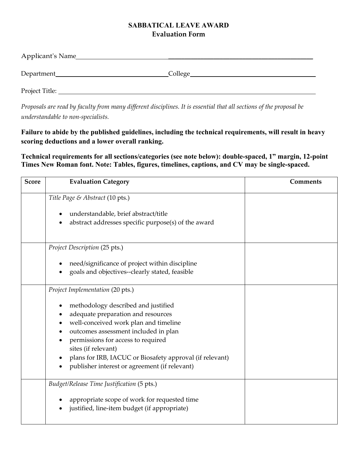## **SABBATICAL LEAVE AWARD Evaluation Form**

| Applicant's Name |         |
|------------------|---------|
| Department_      | College |
| Project Title:   |         |

*Proposals are read by faculty from many different disciplines. It is essential that all sections of the proposal be understandable to non-specialists.*

**Failure to abide by the published guidelines, including the technical requirements, will result in heavy scoring deductions and a lower overall ranking.**

**Technical requirements for all sections/categories (see note below): double-spaced, 1" margin, 12-point Times New Roman font. Note: Tables, figures, timelines, captions, and CV may be single-spaced.**

| <b>Score</b> | <b>Evaluation Category</b>                                                                                                                                                                                                                                                                                                                                                    | <b>Comments</b> |
|--------------|-------------------------------------------------------------------------------------------------------------------------------------------------------------------------------------------------------------------------------------------------------------------------------------------------------------------------------------------------------------------------------|-----------------|
|              | Title Page & Abstract (10 pts.)<br>understandable, brief abstract/title<br>abstract addresses specific purpose(s) of the award                                                                                                                                                                                                                                                |                 |
|              | Project Description (25 pts.)<br>need/significance of project within discipline<br>goals and objectives--clearly stated, feasible                                                                                                                                                                                                                                             |                 |
|              | Project Implementation (20 pts.)<br>methodology described and justified<br>٠<br>adequate preparation and resources<br>well-conceived work plan and timeline<br>outcomes assessment included in plan<br>permissions for access to required<br>sites (if relevant)<br>plans for IRB, IACUC or Biosafety approval (if relevant)<br>publisher interest or agreement (if relevant) |                 |
|              | Budget/Release Time Justification (5 pts.)<br>appropriate scope of work for requested time<br>justified, line-item budget (if appropriate)                                                                                                                                                                                                                                    |                 |